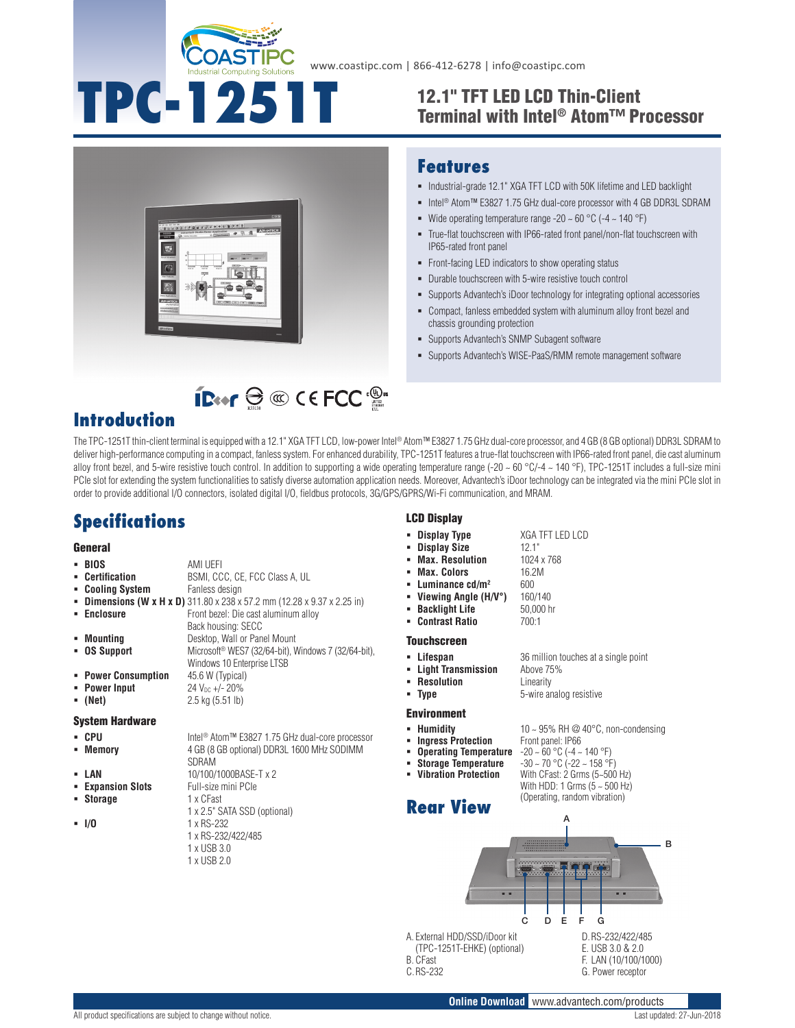

**TPC-1251T**

www.coastipc.com | 866-412-6278 | info@coastipc.com

### 12.1" TFT LED LCD Thin-Client Terminal with Intel® Atom™ Processor



#### **Features**

- $\blacksquare$  Industrial-grade 12.1" XGA TFT LCD with 50K lifetime and LED backlight
- Intel<sup>®</sup> Atom™ E3827 1.75 GHz dual-core processor with 4 GB DDR3L SDRAM
- Wide operating temperature range -20  $\sim$  60 °C (-4  $\sim$  140 °F)
- True-flat touchscreen with IP66-rated front panel/non-flat touchscreen with IP65-rated front panel
- Front-facing LED indicators to show operating status
- Durable touchscreen with 5-wire resistive touch control
- Supports Advantech's iDoor technology for integrating optional accessories
- Compact, fanless embedded system with aluminum alloy front bezel and chassis grounding protection
- Supports Advantech's SNMP Subagent software
- Supports Advantech's WISE-PaaS/RMM remote management software

# **IB**<sup>o</sup>  $\oplus$  © CEFCC<sup>.®</sup>

### **Introduction**

The TPC-1251T thin-client terminal is equipped with a 12.1" XGA TFT LCD, low-power Intel® Atom™ E3827 1.75 GHz dual-core processor, and 4 GB (8 GB optional) DDR3L SDRAM to deliver high-performance computing in a compact, fanless system. For enhanced durability, TPC-1251T features a true-flat touchscreen with IP66-rated front panel, die cast aluminum alloy front bezel, and 5-wire resistive touch control. In addition to supporting a wide operating temperature range  $(-20 \sim 60 \degree C/4 \sim 140 \degree F)$ , TPC-1251T includes a full-size mini PCIe slot for extending the system functionalities to satisfy diverse automation application needs. Moreover, Advantech's iDoor technology can be integrated via the mini PCIe slot in order to provide additional I/O connectors, isolated digital I/O, fieldbus protocols, 3G/GPS/GPRS/Wi-Fi communication, and MRAM.

### **Specifications**

#### **General**

|              | - BIOS              | AMI UEFI                                                                        |
|--------------|---------------------|---------------------------------------------------------------------------------|
|              | • Certification     | BSMI, CCC, CE, FCC Class A, UL                                                  |
|              | • Cooling System    | Fanless design                                                                  |
|              |                     | <b>• Dimensions (W x H x D)</b> 311.80 x 238 x 57.2 mm (12.28 x 9.37 x 2.25 in) |
|              | • Enclosure         | Front bezel: Die cast aluminum alloy                                            |
|              |                     | Back housing: SECC                                                              |
| $\mathbf{r}$ | Mounting            | Desktop, Wall or Panel Mount                                                    |
|              | • OS Support        | Microsoft <sup>®</sup> WES7 (32/64-bit), Windows 7 (32/64-bit),                 |
|              |                     | Windows 10 Enterprise LTSB                                                      |
|              | • Power Consumption | 45.6 W (Typical)                                                                |
|              | • Power Input       | $24 V_{DC} +/- 20\%$                                                            |
|              | (Net)               | $2.5$ kg $(5.51$ lb)                                                            |
|              |                     |                                                                                 |

#### System Hardware

- 
- 
- 
- 
- **Storage**
- 

■ CPU Intel<sup>®</sup> Atom™ E3827 1.75 GHz dual-core processor **Memory** 4 GB (8 GB optional) DDR3L 1600 MHz SODIMM SDRAM

- **LAN** 10/100/1000BASE-T x 2
- **Expansion Slots** Full-size mini PCIe<br>**Expansion Slots** T x CFast
	- 1 x 2.5" SATA SSD (optional)
- **I/O** 1 x RS-232 1 x RS-232/422/485 1 x USB 3.0
	- 1 x USB 2.0

### LCD Display

- **Display Type** XGA TFT LED LCD
	-
- **Display Size** 12.1"<br>**Max. Resolution** 1024 x 768 **Max. Resolution** 
	- **Max. Colors** 16.2M
		-
	- **Luminance cd/m<sup>2</sup> 600<br>Viewing Angle (H/V°)** 160/140 **Viewing Angle (H/V°)**
	- **Backlight Life** 50,000 hr<br> **Contrast Ratio** 700:1
- **Contrast Ratio**

#### **Touchscreen**

- **Lifespan** 36 million touches at a single point<br>**Example: Light Transmission** Above 75%
- **Light Transmission Resolution** Linearity
- **Type** 5-wire analog resistive

#### Environment

- 
- **Humidity 10 ~ 95% RH @ 40°C, non-condensing**<br>■ **Ingress Protection** Front panel: IP66 **Ingress Protection** Front panel: IP66<br>**Operating Temperature** -20 ~ 60 °C (-4 ~ 140 °F)
- **Operating Temperature<br>Storage Temperature**
- **Storage Temperature** -30 ~ 70 °C (-22 ~ 158 °F)<br>**Vibration Protection** With CFast: 2 Grms (5–500
- 

With CFast: 2 Grms (5~500 Hz) With HDD: 1 Grms (5 ~ 500 Hz) (Operating, random vibration) **Rear View**



A. External HDD/SSD/iDoor kit (TPC-1251T-EHKE) (optional) B. CFast C.RS-232

D.RS-232/422/485 E. USB 3.0 & 2.0 F. LAN (10/100/1000) G. Power receptor